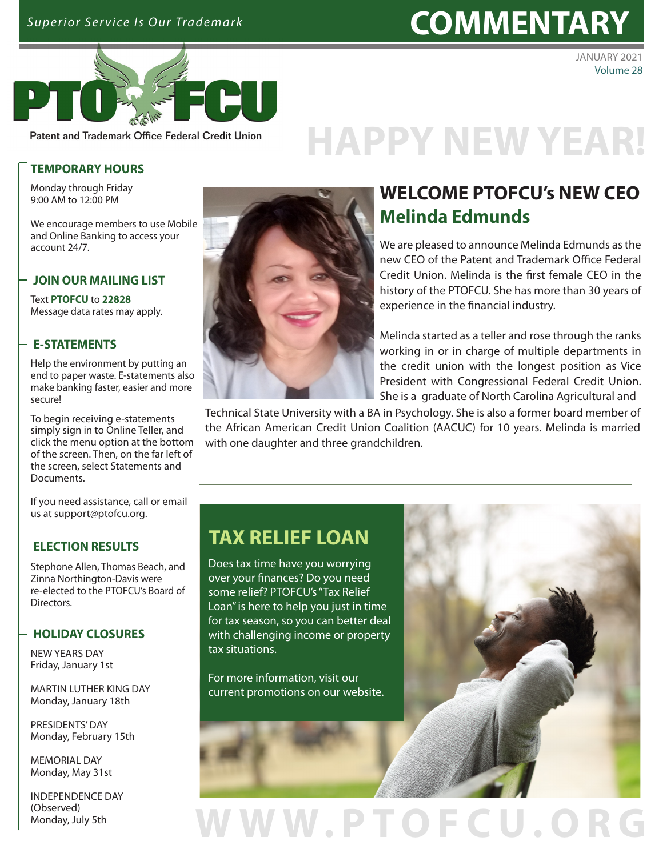## Superior Service Is Our Trademark **COMMENTARY**



JANUARY 2021 Volume 28

Patent and Trademark Office Federal Credit Union

## **[HAPPY NEW YEAR!](https://www.ptofcu.org/home)**

## **TEMPORARY HOURS**

Monday through Friday 9:00 AM to 12:00 PM

We encourage members to use Mobile and Online Banking to access your account 24/7.

## **JOIN OUR MAILING LIST**

Text **PTOFCU** to **22828** Message data rates may apply.

## **E-STATEMENTS**

Help the environment by putting an end to paper waste. E-statements also make banking faster, easier and more secure!

To begin receiving e-statements simply sign in to Online Teller, and [click the menu option at the bottom](https://www.ptofcu.org/home) of the screen. Then, on the far left of the screen, select Statements and Documents.

If you need assistance, call or email us at support@ptofcu.org.

## **ELECTION RESULTS**

Stephone Allen, Thomas Beach, and Zinna Northington-Davis were re-elected to the PTOFCU's Board of Directors.

## **HOLIDAY CLOSURES**

NEW YEARS DAY Friday, January 1st

MARTIN LUTHER KING DAY Monday, January 18th

PRESIDENTS' DAY Monday, February 15th

MEMORIAL DAY Monday, May 31st

INDEPENDENCE DAY (Observed) Monday, July 5th



## **WELCOME PTOFCU's NEW CEO Melinda Edmunds**

We are pleased to announce Melinda Edmunds as the new CEO of the Patent and Trademark Office Federal Credit Union. Melinda is the first female CEO in the history of the PTOFCU. She has more than 30 years of experience in the financial industry.

Melinda started as a teller and rose through the ranks working in or in charge of multiple departments in the credit union with the longest position as Vice President with Congressional Federal Credit Union. She is a graduate of North Carolina Agricultural and

Technical State University with a BA in Psychology. She is also a former board member of [the African American Credit Union Coalition \(AACUC\) for 10 years. Melinda is married](https://www.ptofcu.org/borrow/visa-credit-cards)  with one daughter and three grandchildren.

## **TAX RELIEF LOAN**

Does tax time have you worrying over your finances? Do you need some relief? PTOFCU's "Tax Relief Loan" is here to help you just in time for tax season, so you can better deal with challenging income or property tax situations.

For more information, visit our current promotions on our website.



## WWW.PTOFCU.OR